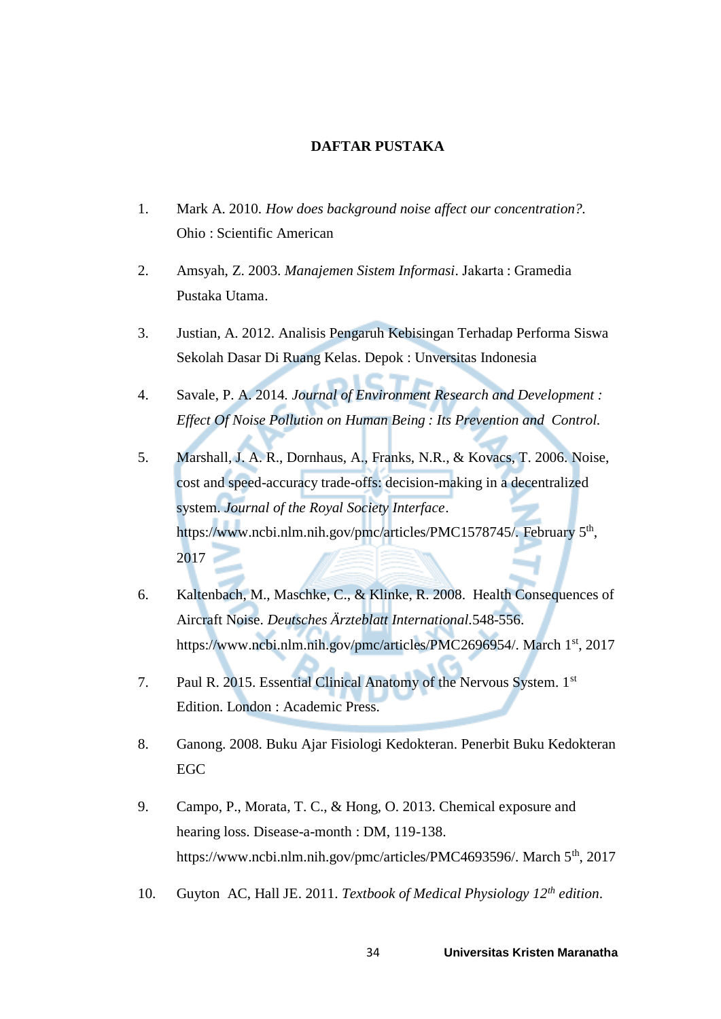## **DAFTAR PUSTAKA**

- 1. Mark A. 2010. *How does background noise affect our concentration?.* Ohio : Scientific American
- 2. Amsyah, Z. 2003. *Manajemen Sistem Informasi*. Jakarta : Gramedia Pustaka Utama.
- 3. Justian, A. 2012. Analisis Pengaruh Kebisingan Terhadap Performa Siswa Sekolah Dasar Di Ruang Kelas. Depok : Unversitas Indonesia
- 4. Savale, P. A. 2014*. Journal of Environment Research and Development : Effect Of Noise Pollution on Human Being : Its Prevention and Control.*
- 5. Marshall, J. A. R., Dornhaus, A., Franks, N.R., & Kovacs, T. 2006. Noise, cost and speed-accuracy trade-offs: decision-making in a decentralized system. *Journal of the Royal Society Interface*. https://www.ncbi.nlm.nih.gov/pmc/articles/PMC1578745/. February 5<sup>th</sup>, 2017
- 6. Kaltenbach, M., Maschke, C., & Klinke, R. 2008. Health Consequences of Aircraft Noise. *Deutsches Ärzteblatt International.*548-556. https://www.ncbi.nlm.nih.gov/pmc/articles/PMC2696954/. March 1<sup>st</sup>, 2017
- 7. Paul R. 2015. Essential Clinical Anatomy of the Nervous System. 1st Edition. London : Academic Press.
- 8. Ganong. 2008. Buku Ajar Fisiologi Kedokteran. Penerbit Buku Kedokteran EGC
- 9. Campo, P., Morata, T. C., & Hong, O. 2013. Chemical exposure and hearing loss. Disease-a-month : DM, 119-138. https://www.ncbi.nlm.nih.gov/pmc/articles/PMC4693596/. March 5<sup>th</sup>, 2017
- 10. Guyton AC, Hall JE. 2011. *Textbook of Medical Physiology 12th edition*.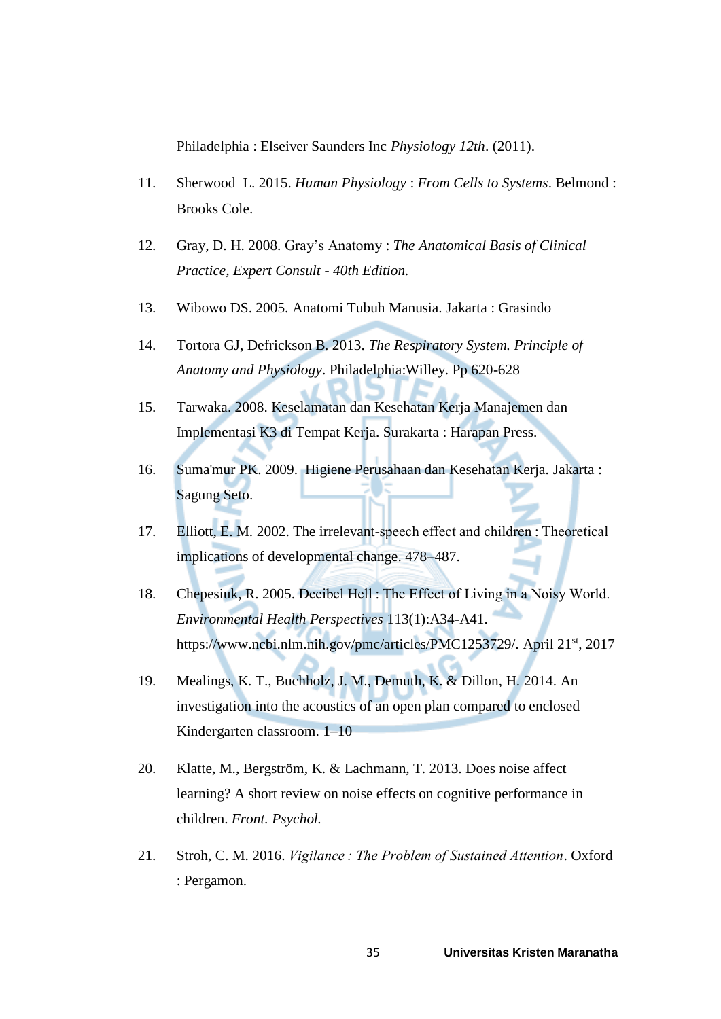Philadelphia : Elseiver Saunders Inc *Physiology 12th*. (2011).

- 11. Sherwood L. 2015. *Human Physiology* : *From Cells to Systems*. Belmond : Brooks Cole.
- 12. Gray, D. H. 2008. Gray's Anatomy : *The Anatomical Basis of Clinical Practice, Expert Consult - 40th Edition.*
- 13. Wibowo DS. 2005. Anatomi Tubuh Manusia. Jakarta : Grasindo
- 14. Tortora GJ, Defrickson B. 2013. *The Respiratory System. Principle of Anatomy and Physiology*. Philadelphia:Willey. Pp 620-628
- 15. Tarwaka. 2008. Keselamatan dan Kesehatan Kerja Manajemen dan Implementasi K3 di Tempat Kerja. Surakarta : Harapan Press.
- 16. Suma'mur PK. 2009. Higiene Perusahaan dan Kesehatan Kerja*.* Jakarta : Sagung Seto.
- 17. Elliott, E. M. 2002. The irrelevant-speech effect and children : Theoretical implications of developmental change. 478–487.
- 18. Chepesiuk, R. 2005. Decibel Hell : The Effect of Living in a Noisy World. *Environmental Health Perspectives* 113(1):A34-A41. https://www.ncbi.nlm.nih.gov/pmc/articles/PMC1253729/. April 21st, 2017
- 19. Mealings, K. T., Buchholz, J. M., Demuth, K. & Dillon, H. 2014. An investigation into the acoustics of an open plan compared to enclosed Kindergarten classroom. 1–10
- 20. Klatte, M., Bergström, K. & Lachmann, T. 2013. Does noise affect learning? A short review on noise effects on cognitive performance in children. *Front. Psychol.*
- 21. Stroh, C. M. 2016. *Vigilance : The Problem of Sustained Attention*. Oxford : Pergamon.